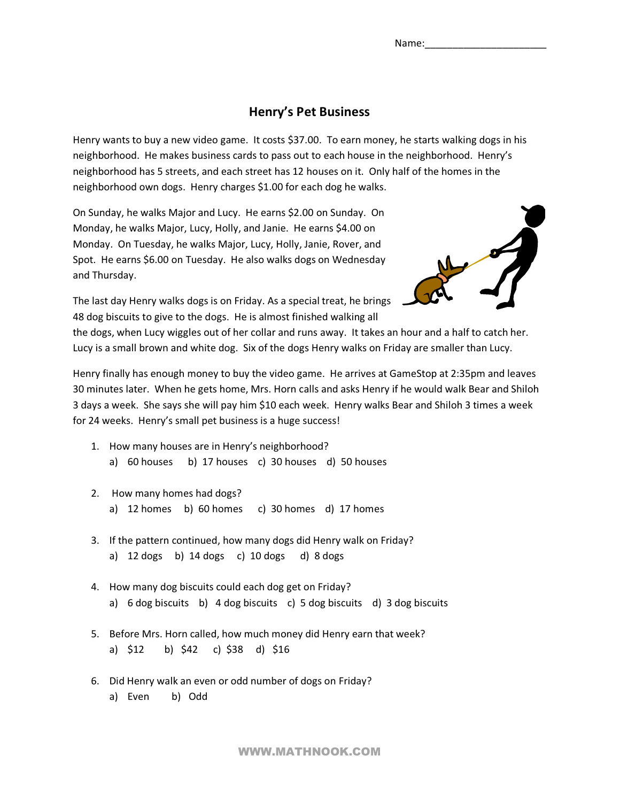## **Henry's Pet Business**

Henry wants to buy a new video game. It costs \$37.00. To earn money, he starts walking dogs in his neighborhood. He makes business cards to pass out to each house in the neighborhood. Henry's neighborhood has 5 streets, and each street has 12 houses on it. Only half of the homes in the neighborhood own dogs. Henry charges \$1.00 for each dog he walks.

On Sunday, he walks Major and Lucy. He earns \$2.00 on Sunday. On Monday, he walks Major, Lucy, Holly, and Janie. He earns \$4.00 on Monday. On Tuesday, he walks Major, Lucy, Holly, Janie, Rover, and Spot. He earns \$6.00 on Tuesday. He also walks dogs on Wednesday and Thursday.



The last day Henry walks dogs is on Friday. As a special treat, he brings 48 dog biscuits to give to the dogs. He is almost finished walking all

the dogs, when Lucy wiggles out of her collar and runs away. It takes an hour and a half to catch her. Lucy is a small brown and white dog. Six of the dogs Henry walks on Friday are smaller than Lucy.

Henry finally has enough money to buy the video game. He arrives at GameStop at 2:35pm and leaves 30 minutes later. When he gets home, Mrs. Horn calls and asks Henry if he would walk Bear and Shiloh 3 days a week. She says she will pay him \$10 each week. Henry walks Bear and Shiloh 3 times a week for 24 weeks. Henry's small pet business is a huge success!

- 1. How many houses are in Henry's neighborhood? a) 60 houses b) 17 houses c) 30 houses d) 50 houses
- 2. How many homes had dogs? a)  $12$  homes b)  $60$  homes c)  $30$  homes d)  $17$  homes
- 3. If the pattern continued, how many dogs did Henry walk on Friday? a) 12 dogs b) 14 dogs c) 10 dogs d) 8 dogs
- 4. How many dog biscuits could each dog get on Friday? a)  $6$  dog biscuits  $b$ )  $4$  dog biscuits  $c$ )  $5$  dog biscuits  $d$ )  $3$  dog biscuits
- 5. Before Mrs. Horn called, how much money did Henry earn that week? a)  $$12$  b)  $$42$  c)  $$38$  d)  $$16$
- 6. Did Henry walk an even or odd number of dogs on Friday? a) Even b) Odd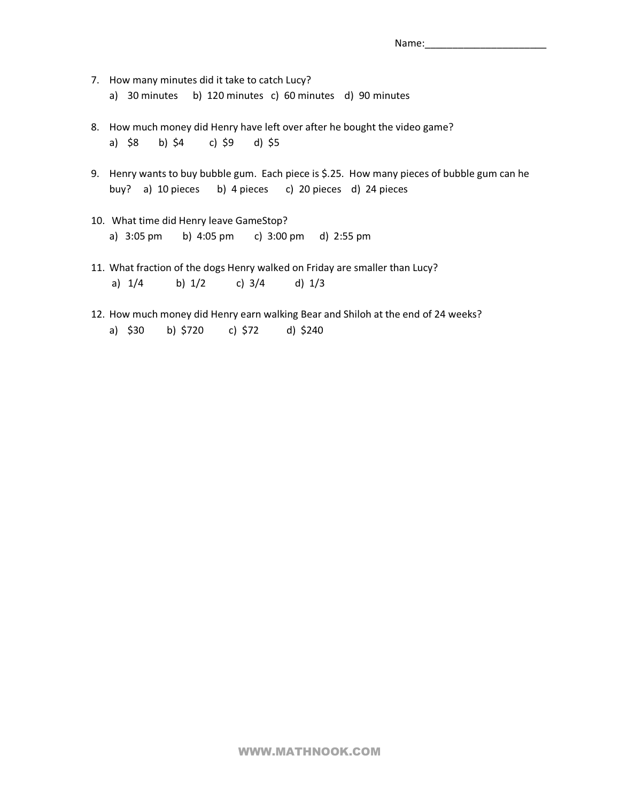- 7. How many minutes did it take to catch Lucy? a) 30 minutes b) 120 minutes c) 60 minutes d) 90 minutes
- 8. How much money did Henry have left over after he bought the video game? a) \$8 b) \$4 c) \$9 d) \$5
- 9. Henry wants to buy bubble gum. Each piece is \$.25. How many pieces of bubble gum can he buy? a) 10 pieces b) 4 pieces c) 20 pieces d) 24 pieces
- 10. What time did Henry leave GameStop? a) 3:05 pm b) 4:05 pm c) 3:00 pm d) 2:55 pm
- 11. What fraction of the dogs Henry walked on Friday are smaller than Lucy? a) 1/4 b) 1/2 c) 3/4 d) 1/3
- 12. How much money did Henry earn walking Bear and Shiloh at the end of 24 weeks? a) \$30 b) \$720 c) \$72 d) \$240